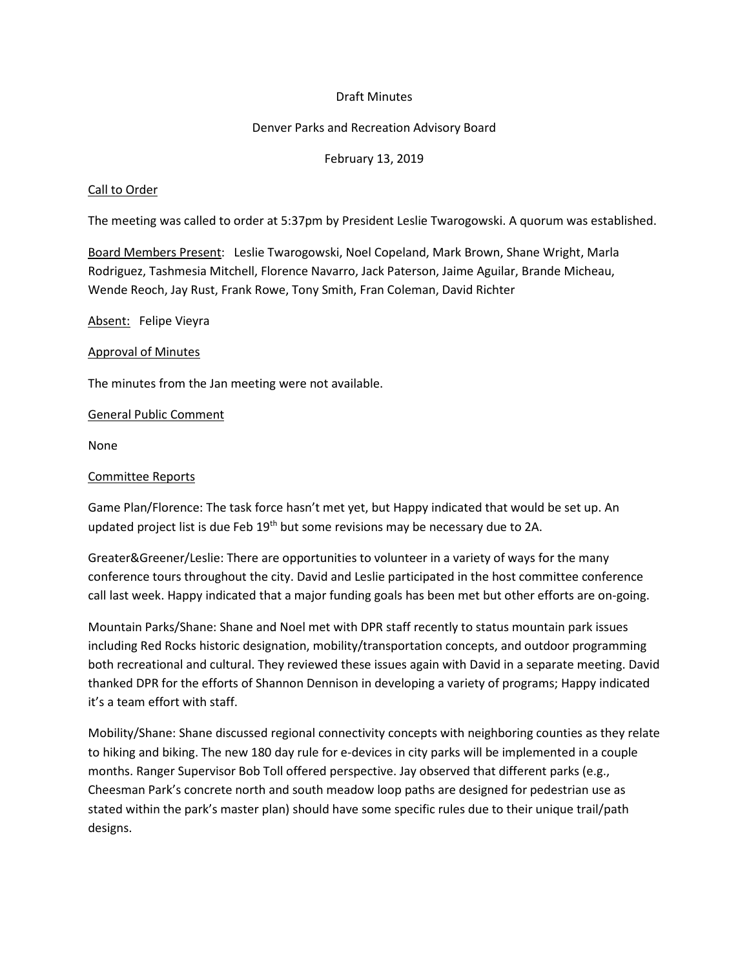### Draft Minutes

#### Denver Parks and Recreation Advisory Board

#### February 13, 2019

#### Call to Order

The meeting was called to order at 5:37pm by President Leslie Twarogowski. A quorum was established.

Board Members Present: Leslie Twarogowski, Noel Copeland, Mark Brown, Shane Wright, Marla Rodriguez, Tashmesia Mitchell, Florence Navarro, Jack Paterson, Jaime Aguilar, Brande Micheau, Wende Reoch, Jay Rust, Frank Rowe, Tony Smith, Fran Coleman, David Richter

Absent: Felipe Vieyra

#### Approval of Minutes

The minutes from the Jan meeting were not available.

#### General Public Comment

None

#### Committee Reports

Game Plan/Florence: The task force hasn't met yet, but Happy indicated that would be set up. An updated project list is due Feb 19<sup>th</sup> but some revisions may be necessary due to 2A.

Greater&Greener/Leslie: There are opportunities to volunteer in a variety of ways for the many conference tours throughout the city. David and Leslie participated in the host committee conference call last week. Happy indicated that a major funding goals has been met but other efforts are on-going.

Mountain Parks/Shane: Shane and Noel met with DPR staff recently to status mountain park issues including Red Rocks historic designation, mobility/transportation concepts, and outdoor programming both recreational and cultural. They reviewed these issues again with David in a separate meeting. David thanked DPR for the efforts of Shannon Dennison in developing a variety of programs; Happy indicated it's a team effort with staff.

Mobility/Shane: Shane discussed regional connectivity concepts with neighboring counties as they relate to hiking and biking. The new 180 day rule for e-devices in city parks will be implemented in a couple months. Ranger Supervisor Bob Toll offered perspective. Jay observed that different parks (e.g., Cheesman Park's concrete north and south meadow loop paths are designed for pedestrian use as stated within the park's master plan) should have some specific rules due to their unique trail/path designs.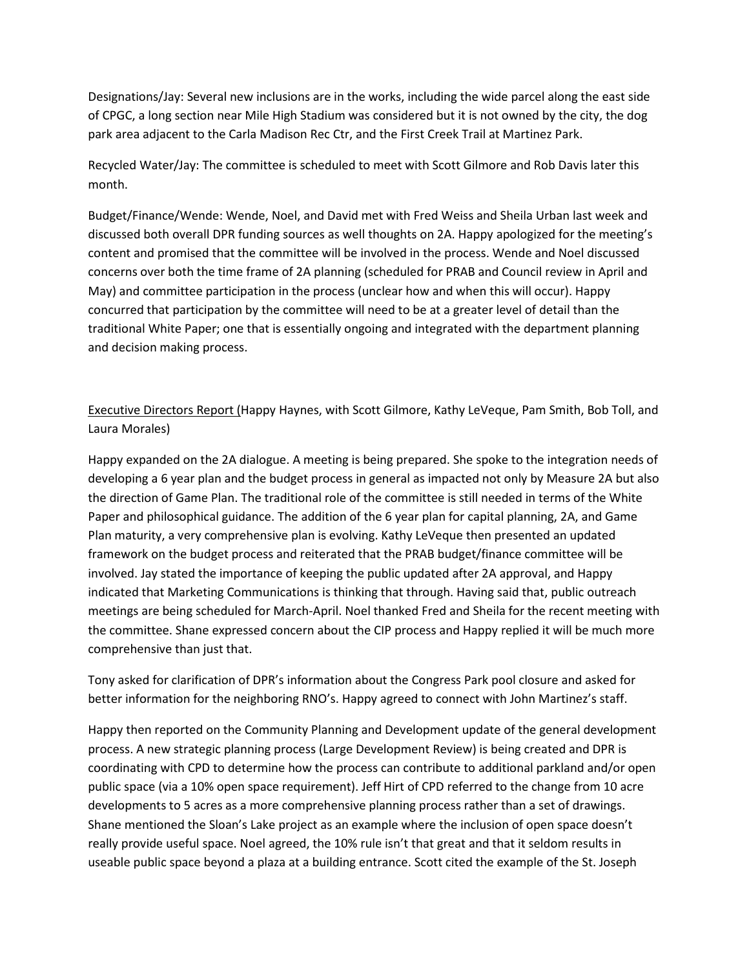Designations/Jay: Several new inclusions are in the works, including the wide parcel along the east side of CPGC, a long section near Mile High Stadium was considered but it is not owned by the city, the dog park area adjacent to the Carla Madison Rec Ctr, and the First Creek Trail at Martinez Park.

Recycled Water/Jay: The committee is scheduled to meet with Scott Gilmore and Rob Davis later this month.

Budget/Finance/Wende: Wende, Noel, and David met with Fred Weiss and Sheila Urban last week and discussed both overall DPR funding sources as well thoughts on 2A. Happy apologized for the meeting's content and promised that the committee will be involved in the process. Wende and Noel discussed concerns over both the time frame of 2A planning (scheduled for PRAB and Council review in April and May) and committee participation in the process (unclear how and when this will occur). Happy concurred that participation by the committee will need to be at a greater level of detail than the traditional White Paper; one that is essentially ongoing and integrated with the department planning and decision making process.

Executive Directors Report (Happy Haynes, with Scott Gilmore, Kathy LeVeque, Pam Smith, Bob Toll, and Laura Morales)

Happy expanded on the 2A dialogue. A meeting is being prepared. She spoke to the integration needs of developing a 6 year plan and the budget process in general as impacted not only by Measure 2A but also the direction of Game Plan. The traditional role of the committee is still needed in terms of the White Paper and philosophical guidance. The addition of the 6 year plan for capital planning, 2A, and Game Plan maturity, a very comprehensive plan is evolving. Kathy LeVeque then presented an updated framework on the budget process and reiterated that the PRAB budget/finance committee will be involved. Jay stated the importance of keeping the public updated after 2A approval, and Happy indicated that Marketing Communications is thinking that through. Having said that, public outreach meetings are being scheduled for March-April. Noel thanked Fred and Sheila for the recent meeting with the committee. Shane expressed concern about the CIP process and Happy replied it will be much more comprehensive than just that.

Tony asked for clarification of DPR's information about the Congress Park pool closure and asked for better information for the neighboring RNO's. Happy agreed to connect with John Martinez's staff.

Happy then reported on the Community Planning and Development update of the general development process. A new strategic planning process (Large Development Review) is being created and DPR is coordinating with CPD to determine how the process can contribute to additional parkland and/or open public space (via a 10% open space requirement). Jeff Hirt of CPD referred to the change from 10 acre developments to 5 acres as a more comprehensive planning process rather than a set of drawings. Shane mentioned the Sloan's Lake project as an example where the inclusion of open space doesn't really provide useful space. Noel agreed, the 10% rule isn't that great and that it seldom results in useable public space beyond a plaza at a building entrance. Scott cited the example of the St. Joseph